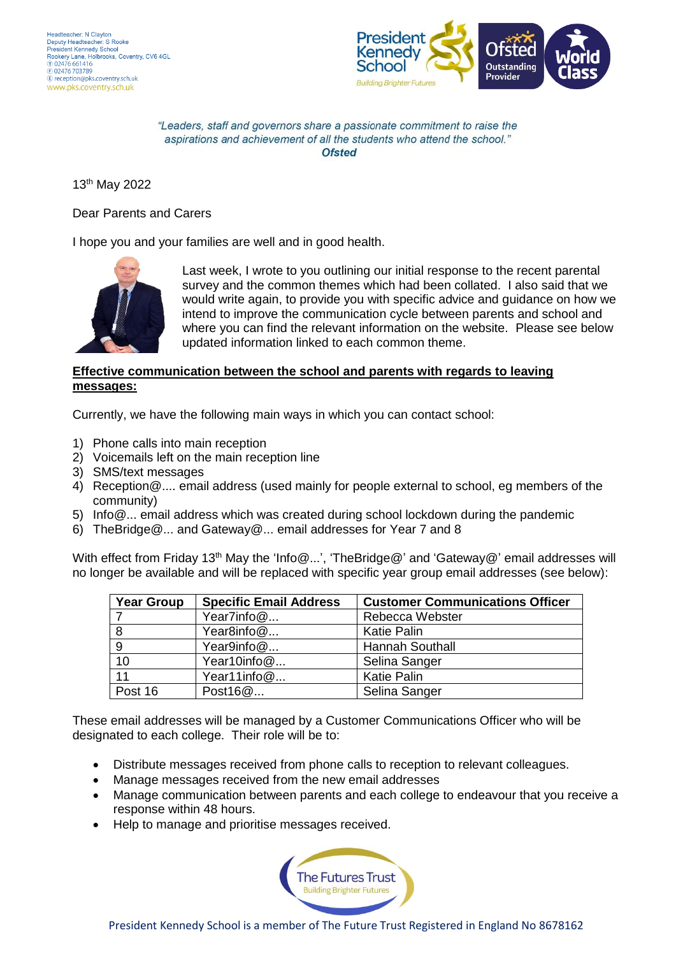

"Leaders, staff and governors share a passionate commitment to raise the aspirations and achievement of all the students who attend the school." Ofsted

13th May 2022

Dear Parents and Carers

I hope you and your families are well and in good health.



Last week, I wrote to you outlining our initial response to the recent parental survey and the common themes which had been collated. I also said that we would write again, to provide you with specific advice and guidance on how we intend to improve the communication cycle between parents and school and where you can find the relevant information on the website. Please see below updated information linked to each common theme.

## **Effective communication between the school and parents with regards to leaving messages:**

Currently, we have the following main ways in which you can contact school:

- 1) Phone calls into main reception
- 2) Voicemails left on the main reception line
- 3) SMS/text messages
- 4) Reception@.... email address (used mainly for people external to school, eg members of the community)
- 5) Info@... email address which was created during school lockdown during the pandemic
- 6) TheBridge@... and Gateway@... email addresses for Year 7 and 8

With effect from Friday 13<sup>th</sup> May the 'Info@...', 'TheBridge@' and 'Gateway@' email addresses will no longer be available and will be replaced with specific year group email addresses (see below):

| <b>Year Group</b> | <b>Specific Email Address</b> | <b>Customer Communications Officer</b> |
|-------------------|-------------------------------|----------------------------------------|
|                   | Year7info@                    | Rebecca Webster                        |
| - 8               | Year8info@                    | <b>Katie Palin</b>                     |
| -9                | Year9info@                    | <b>Hannah Southall</b>                 |
| 10                | Year10info@                   | Selina Sanger                          |
| 11                | Year11info@                   | <b>Katie Palin</b>                     |
| Post 16           | Post16@                       | Selina Sanger                          |

These email addresses will be managed by a Customer Communications Officer who will be designated to each college. Their role will be to:

- Distribute messages received from phone calls to reception to relevant colleagues.
- Manage messages received from the new email addresses
- Manage communication between parents and each college to endeavour that you receive a response within 48 hours.
- Help to manage and prioritise messages received.